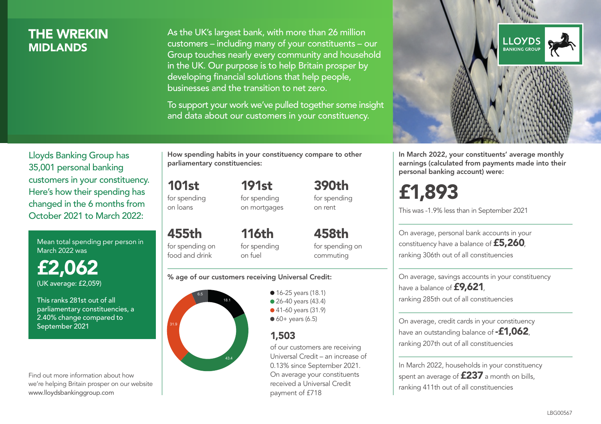# THE WREKIN **MIDI ANDS**

As the UK's largest bank, with more than 26 million customers – including many of your constituents – our Group touches nearly every community and household in the UK. Our purpose is to help Britain prosper by developing financial solutions that help people, businesses and the transition to net zero.

To support your work we've pulled together some insight and data about our customers in your constituency.



Mean total spending per person in March 2022 was

£2,062 (UK average: £2,059)

This ranks 281st out of all parliamentary constituencies, a 2.40% change compared to September 2021

Find out more information about how we're helping Britain prosper on our website www.lloydsbankinggroup.com

How spending habits in your constituency compare to other parliamentary constituencies:

> 191st for spending

101st for spending on loans

on mortgages

455th for spending on food and drink 116th for spending on fuel

458th for spending on commuting

390th for spending on rent

#### % age of our customers receiving Universal Credit:



• 16-25 years (18.1) • 26-40 years (43.4) ● 41-60 years (31.9)  $60+$  years (6.5)

# 1,503

of our customers are receiving Universal Credit – an increase of 0.13% since September 2021. On average your constituents received a Universal Credit payment of £718



In March 2022, your constituents' average monthly earnings (calculated from payments made into their personal banking account) were:

# £1,893

This was -1.9% less than in September 2021

On average, personal bank accounts in your constituency have a balance of £5,260, ranking 306th out of all constituencies

On average, savings accounts in your constituency have a balance of **£9,621**, ranking 285th out of all constituencies

On average, credit cards in your constituency have an outstanding balance of **-£1,062**, ranking 207th out of all constituencies

In March 2022, households in your constituency spent an average of £237 a month on bills, ranking 411th out of all constituencies